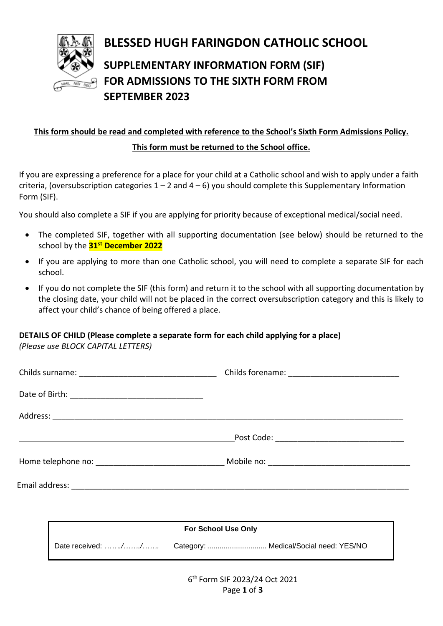

# **BLESSED HUGH FARINGDON CATHOLIC SCHOOL**

# **SUPPLEMENTARY INFORMATION FORM (SIF) FOR ADMISSIONS TO THE SIXTH FORM FROM SEPTEMBER 2023**

# **This form should be read and completed with reference to the School's Sixth Form Admissions Policy. This form must be returned to the School office.**

If you are expressing a preference for a place for your child at a Catholic school and wish to apply under a faith criteria, (oversubscription categories  $1 - 2$  and  $4 - 6$ ) you should complete this Supplementary Information Form (SIF).

You should also complete a SIF if you are applying for priority because of exceptional medical/social need.

- The completed SIF, together with all supporting documentation (see below) should be returned to the school by the **31st December 2022**
- If you are applying to more than one Catholic school, you will need to complete a separate SIF for each school.
- If you do not complete the SIF (this form) and return it to the school with all supporting documentation by the closing date, your child will not be placed in the correct oversubscription category and this is likely to affect your child's chance of being offered a place.

## **DETAILS OF CHILD (Please complete a separate form for each child applying for a place)**

*(Please use BLOCK CAPITAL LETTERS)*

|  |  |  | <b>For School Use Only</b> |  |
|--|--|--|----------------------------|--|

Date received: *……./……./…….* Category: ............................. Medical/Social need: YES/NO

6 th Form SIF 2023/24 Oct 2021 Page **1** of **3**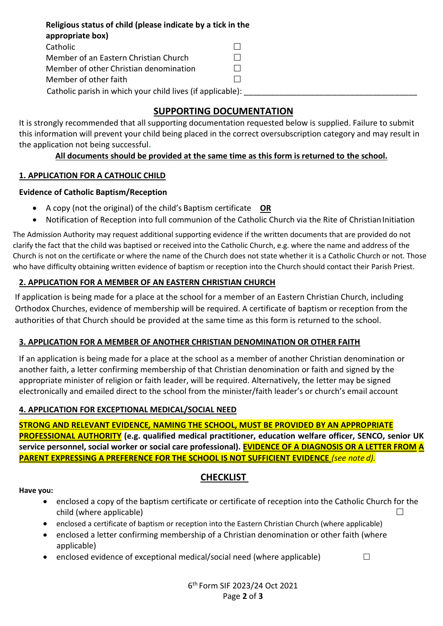**Religious status of child (please indicate by a tick in the appropriate box)**  Catholic □ Member of an Eastern Christian Church  $\Box$ Member of other Christian denomination  $\Box$ Member of other faith and the state of  $\Box$ Catholic parish in which your child lives (if applicable):

## **SUPPORTING DOCUMENTATION**

It is strongly recommended that all supporting documentation requested below is supplied. Failure to submit this information will prevent your child being placed in the correct oversubscription category and may result in the application not being successful**.**

## **All documents should be provided at the same time as this form is returned to the school.**

### **1. APPLICATION FOR A CATHOLIC CHILD**

### **Evidence of Catholic Baptism/Reception**

- A copy (not the original) of the child's Baptism certificate **OR**
- Notification of Reception into full communion of the Catholic Church via the Rite of Christian Initiation

The Admission Authority may request additional supporting evidence if the written documents that are provided do not clarify the fact that the child was baptised or received into the Catholic Church, e.g. where the name and address of the Church is not on the certificate or where the name of the Church does not state whether it is a Catholic Church or not. Those who have difficulty obtaining written evidence of baptism or reception into the Church should contact their Parish Priest.

### **2. APPLICATION FOR A MEMBER OF AN EASTERN CHRISTIAN CHURCH**

If application is being made for a place at the school for a member of an Eastern Christian Church, including Orthodox Churches, evidence of membership will be required. A certificate of baptism or reception from the authorities of that Church should be provided at the same time as this form is returned to the school.

### **3. APPLICATION FOR A MEMBER OF ANOTHER CHRISTIAN DENOMINATION OR OTHER FAITH**

If an application is being made for a place at the school as a member of another Christian denomination or another faith, a letter confirming membership of that Christian denomination or faith and signed by the appropriate minister of religion or faith leader, will be required. Alternatively, the letter may be signed electronically and emailed direct to the school from the minister/faith leader's or church's email account

### **4. APPLICATION FOR EXCEPTIONAL MEDICAL/SOCIAL NEED**

**STRONG AND RELEVANT EVIDENCE***,* **NAMING THE SCHOOL, MUST BE PROVIDED BY AN APPROPRIATE PROFESSIONAL AUTHORITY (e.g. qualified medical practitioner, education welfare officer, SENCO, senior UK service personnel, social worker or social care professional). EVIDENCE OF A DIAGNOSIS OR A LETTER FROM A PARENT EXPRESSING A PREFERENCE FOR THE SCHOOL IS NOT SUFFICIENT EVIDENCE** *(see note d).*

## **CHECKLIST**

#### **Have you:**

- enclosed a copy of the baptism certificate or certificate of reception into the Catholic Church for the  $\Box$
- enclosed a certificate of baptism or reception into the Eastern Christian Church (where applicable)
- enclosed a letter confirming membership of a Christian denomination or other faith (where applicable)
- enclosed evidence of exceptional medical/social need (where applicable)  $\Box$